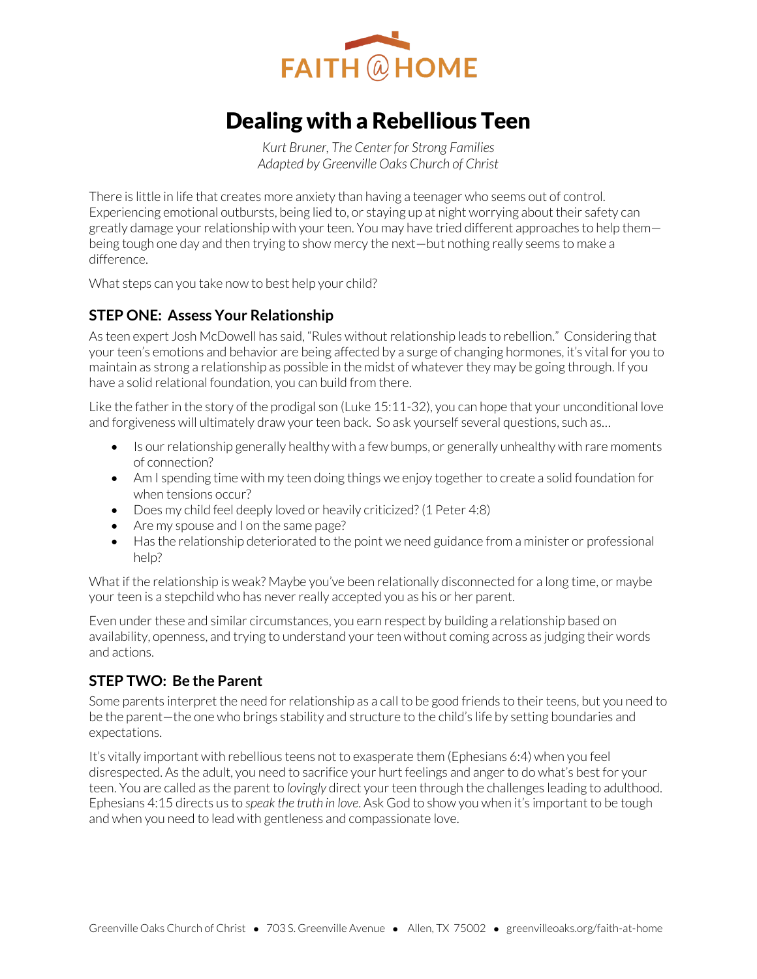

# Dealing with a Rebellious Teen

*Kurt Bruner, The Center for Strong Families Adapted by Greenville Oaks Church of Christ* 

There is little in life that creates more anxiety than having a teenager who seems out of control. Experiencing emotional outbursts, being lied to, or staying up at night worrying about their safety can greatly damage your relationship with your teen. You may have tried different approaches to help them being tough one day and then trying to show mercy the next—but nothing really seems to make a difference.

What steps can you take now to best help your child?

## **STEP ONE: Assess Your Relationship**

As teen expert Josh McDowell has said, "Rules without relationship leads to rebellion." Considering that your teen's emotions and behavior are being affected by a surge of changing hormones, it's vital for you to maintain as strong a relationship as possible in the midst of whatever they may be going through. If you have a solid relational foundation, you can build from there.

Like the father in the story of the prodigal son (Luke 15:11-32), you can hope that your unconditional love and forgiveness will ultimately draw your teen back. So ask yourself several questions, such as…

- Is our relationship generally healthy with a few bumps, or generally unhealthy with rare moments of connection?
- Am I spending time with my teen doing things we enjoy together to create a solid foundation for when tensions occur?
- Does my child feel deeply loved or heavily criticized? (1 Peter 4:8)
- Are my spouse and I on the same page?
- Has the relationship deteriorated to the point we need guidance from a minister or professional help?

What if the relationship is weak? Maybe you've been relationally disconnected for a long time, or maybe your teen is a stepchild who has never really accepted you as his or her parent.

Even under these and similar circumstances, you earn respect by building a relationship based on availability, openness, and trying to understand your teen without coming across as judging their words and actions.

## **STEP TWO: Be the Parent**

Some parents interpret the need for relationship as a call to be good friends to their teens, but you need to be the parent—the one who brings stability and structure to the child's life by setting boundaries and expectations.

It's vitally important with rebellious teens not to exasperate them (Ephesians 6:4) when you feel disrespected. As the adult, you need to sacrifice your hurt feelings and anger to do what's best for your teen. You are called as the parent to *lovingly* direct your teen through the challenges leading to adulthood. Ephesians 4:15 directs us to *speak the truth in love*. Ask God to show you when it's important to be tough and when you need to lead with gentleness and compassionate love.